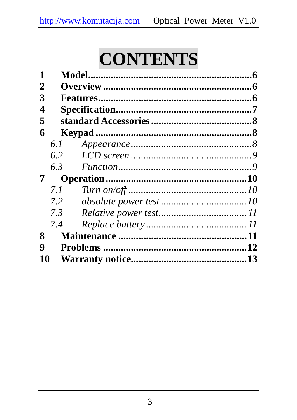# **CONTENTS**

| 1  |               |  |
|----|---------------|--|
| 2  |               |  |
| 3  |               |  |
| 4  |               |  |
| 5  |               |  |
| 6  |               |  |
|    | 6.1           |  |
|    | 6.2           |  |
|    | 6.3           |  |
| 7  |               |  |
|    | 7. 1          |  |
|    | $7.2^{\circ}$ |  |
|    | 7.3           |  |
|    | 7.4           |  |
| 8  |               |  |
| 9  |               |  |
| 10 |               |  |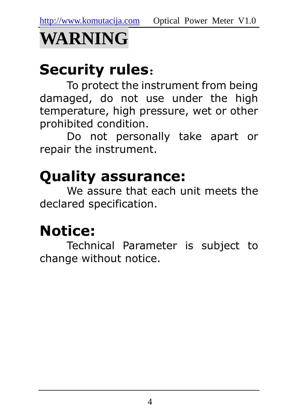

## Security rules:

To protect the instrument from being damaged, do not use under the high temperature, high pressure, wet or other prohibited condition.

Do not personally take apart or repair the instrument.

## Quality assurance:

We assure that each unit meets the declared specification.

## Notice:

Technical Parameter is subject to change without notice.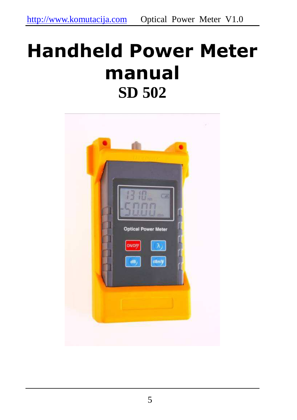# Handheld Power Meter manual **SD 502**

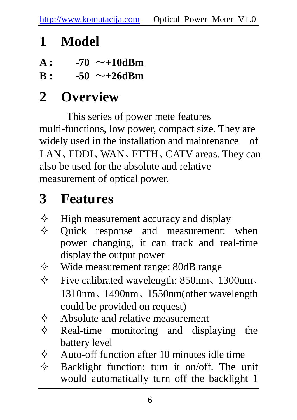## **1 Model**

- $A: 70 \sim +10$ dBm
- $B: -50 \sim +26$ dBm

## **2 Overview**

This series of power mete features multi-functions, low power, compact size. They are widely used in the installation and maintenance of LAN、FDDI、WAN、FTTH、CATV areas. They can also be used for the absolute and relative measurement of optical power.

## **3 Features**

- $\diamond$  High measurement accuracy and display  $\diamond$  Ouick response and measurement:
- Quick response and measurement: when power changing, it can track and real-time display the output power
- $\Diamond$  Wide measurement range: 80dB range
- $\div$  Five calibrated wavelength: 850nm, 1300nm, 1310nm、1490nm、1550nm(other wavelength could be provided on request)
- $\Diamond$  Absolute and relative measurement
- $\Diamond$  Real-time monitoring and displaying the battery level
- $\Diamond$  Auto-off function after 10 minutes idle time
- $\Diamond$  Backlight function: turn it on/off. The unit would automatically turn off the backlight 1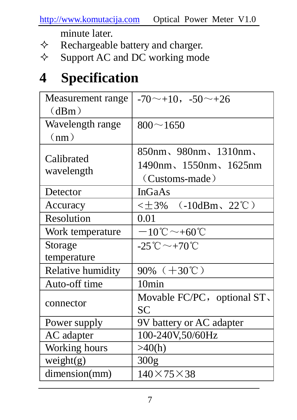http://www.komutacija.com Optical Power Meter V1.0

minute later.

- $\Diamond$  Rechargeable battery and charger.<br> $\Diamond$  Support AC and DC working mod
- Support AC and DC working mode

## **4 Specification**

| Measurement range | $-70$ ~ +10, $-50$ ~ +26                      |  |
|-------------------|-----------------------------------------------|--|
| (dBm)             |                                               |  |
| Wavelength range  | $800 \sim 1650$                               |  |
| (nm)              |                                               |  |
|                   | 850nm、980nm、1310nm、                           |  |
| Calibrated        | 1490nm、1550nm、1625nm                          |  |
| wavelength        | (Customs-made)                                |  |
| Detector          | InGaAs                                        |  |
| Accuracy          | $\leq \pm 3\%$ (-10dBm, 22°C)                 |  |
| Resolution        | 0.01                                          |  |
| Work temperature  | $-10^{\circ}\text{C}\sim +60^{\circ}\text{C}$ |  |
| Storage           | $-25^{\circ}\text{C}\sim+70^{\circ}\text{C}$  |  |
| temperature       |                                               |  |
| Relative humidity | 90% $(+30^{\circ}\text{C})$                   |  |
| Auto-off time     | 10min                                         |  |
| connector         | Movable FC/PC, optional ST,                   |  |
|                   | SC                                            |  |
| Power supply      | 9V battery or AC adapter                      |  |
| AC adapter        | 100-240V,50/60Hz                              |  |
| Working hours     | >40(h)                                        |  |
| weight(g)         | 300 <sub>g</sub>                              |  |
| dimension(mm)     | $140\times75\times38$                         |  |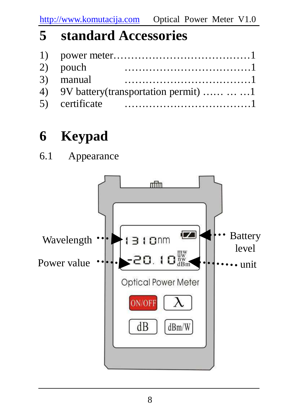### **5 standard Accessories**

| 2) pouch                                   |  |
|--------------------------------------------|--|
| 3) manual                                  |  |
| 4) 9V battery (transportation permit)    1 |  |
|                                            |  |

## **6 Keypad**

6.1 Appearance

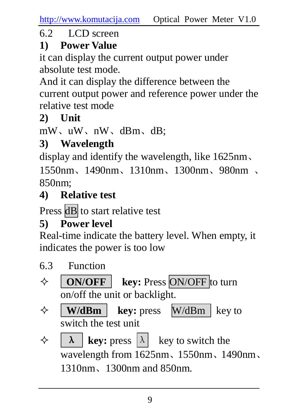#### 6.2 LCD screen

#### **1) Power Value**

it can display the current output power under absolute test mode.

And it can display the difference between the current output power and reference power under the relative test mode

#### **2) Unit**

mW、uW、nW、dBm、dB;

#### **3) Wavelength**

display and identify the wavelength, like 1625nm、

1550nm、1490nm、1310nm、1300nm、980nm 、  $850$ nm $\cdot$ 

#### **4) Relative test**

Press dB to start relative test

#### **5) Power level**

Real-time indicate the battery level. When empty, it indicates the power is too low

- 6.3 Function
- **ON/OFF key:** Press ON/OFF to turn on/off the unit or backlight.
- $\Diamond$  **W/dBm** key: press W/dBm key to switch the test unit
- $\Diamond$  **A key:** press  $\lambda$  **key** to switch the wavelength from 1625nm、1550nm、1490nm、 1310nm、1300nm and 850nm.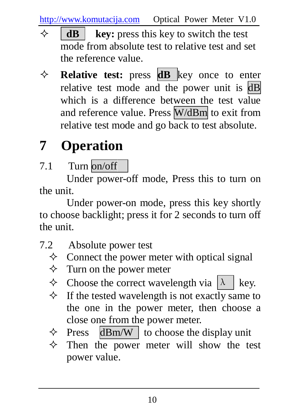http://www.komutacija.com Optical Power Meter V1.0

- **dB** key: press this key to switch the test mode from absolute test to relative test and set the reference value.
- **Relative test:** press **dB** key once to enter relative test mode and the power unit is dB which is a difference between the test value and reference value. Press W/dBm to exit from relative test mode and go back to test absolute.

## **7 Operation**

7.1 Turn on/off

Under power-off mode, Press this to turn on the unit.

Under power-on mode, press this key shortly to choose backlight; press it for 2 seconds to turn off the unit.

- 7.2 Absolute power test
	- $\Diamond$  Connect the power meter with optical signal
	- $\Diamond$  Turn on the power meter
	- $\Diamond$  Choose the correct wavelength via  $|\lambda|$  key.
	- $\Diamond$  If the tested wavelength is not exactly same to the one in the power meter, then choose a close one from the power meter.
	- $\Diamond$  Press dBm/W to choose the display unit
	- $\Diamond$  Then the power meter will show the test power value.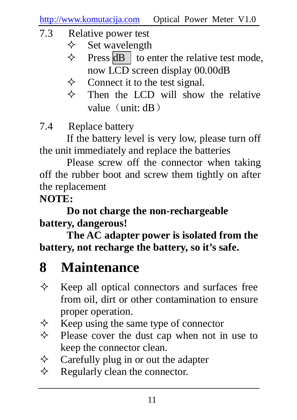- 7.3 Relative power test
	- $\diamond$  Set wavelength
	- $\Diamond$  Press dB to enter the relative test mode, now LCD screen display 00.00dB
	- $\Diamond$  Connect it to the test signal.
	- $\Diamond$  Then the LCD will show the relative value $(\text{unit: } dB)$

7.4 Replace battery

If the battery level is very low, please turn off the unit immediately and replace the batteries

Please screw off the connector when taking off the rubber boot and screw them tightly on after the replacement

#### **NOTE:**

**Do not charge the non-rechargeable battery, dangerous!** 

**The AC adapter power is isolated from the battery, not recharge the battery, so it's safe.** 

## **8 Maintenance**

- $\Diamond$  Keep all optical connectors and surfaces free from oil, dirt or other contamination to ensure proper operation.
- $\Diamond$  Keep using the same type of connector
- $\Diamond$  Please cover the dust cap when not in use to keep the connector clean.
- $\Diamond$  Carefully plug in or out the adapter
- $\Diamond$  Regularly clean the connector.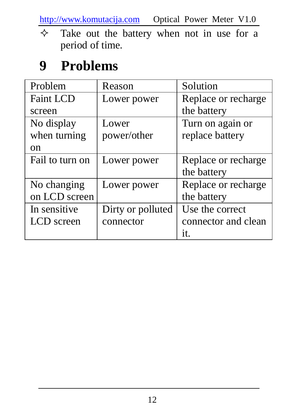http://www.komutacija.com Optical Power Meter V1.0

 $\Diamond$  Take out the battery when not in use for a period of time.

## **9 Problems**

| Problem          | Reason            | Solution            |
|------------------|-------------------|---------------------|
| <b>Faint LCD</b> | Lower power       | Replace or recharge |
| screen           |                   | the battery         |
| No display       | Lower             | Turn on again or    |
| when turning     | power/other       | replace battery     |
| on               |                   |                     |
| Fail to turn on  | Lower power       | Replace or recharge |
|                  |                   | the battery         |
| No changing      | Lower power       | Replace or recharge |
| on LCD screen    |                   | the battery         |
| In sensitive     | Dirty or polluted | Use the correct     |
| LCD screen       | connector         | connector and clean |
|                  |                   | it.                 |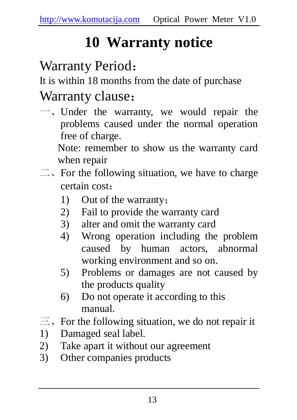## **10 Warranty notice**

## Warranty Period:

It is within 18 months from the date of purchase

### Warranty clause:

一、Under the warranty, we would repair the problems caused under the normal operation free of charge.

Note: remember to show us the warranty card when repair

- $\equiv$ . For the following situation, we have to charge certain cost:
	- 1) Out of the warranty;
	- 2) Fail to provide the warranty card
	- 3) alter and omit the warranty card
	- 4) Wrong operation including the problem caused by human actors, abnormal working environment and so on.
	- 5) Problems or damages are not caused by the products quality
	- 6) Do not operate it according to this manual.
- $\equiv$ , For the following situation, we do not repair it
- 1) Damaged seal label.
- 2) Take apart it without our agreement
- 3) Other companies products